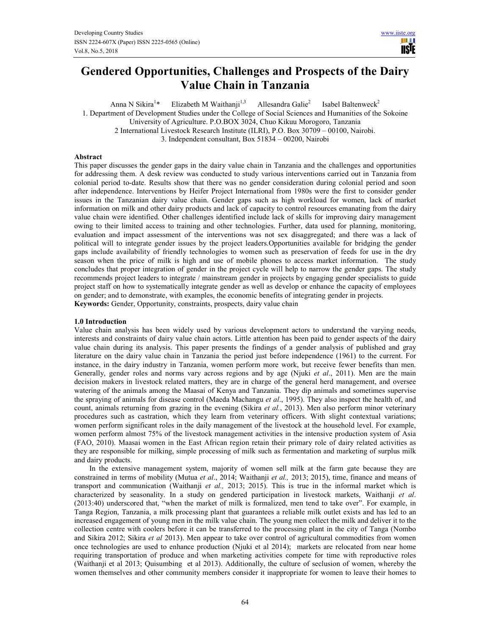

# **Gendered Opportunities, Challenges and Prospects of the Dairy Value Chain in Tanzania**

Anna N Sikira<sup>1\*</sup> Elizabeth M Waithanji<sup>1,3</sup> Allesandra Galie<sup>2</sup> Isabel Baltenweck<sup>2</sup> 1. Department of Development Studies under the College of Social Sciences and Humanities of the Sokoine University of Agriculture. P.O.BOX 3024, Chuo Kikuu Morogoro, Tanzania 2 International Livestock Research Institute (ILRI), P.O. Box 30709 – 00100, Nairobi. 3. Independent consultant, Box 51834 – 00200, Nairobi

## **Abstract**

This paper discusses the gender gaps in the dairy value chain in Tanzania and the challenges and opportunities for addressing them. A desk review was conducted to study various interventions carried out in Tanzania from colonial period to-date. Results show that there was no gender consideration during colonial period and soon after independence. Interventions by Heifer Project International from 1980s were the first to consider gender issues in the Tanzanian dairy value chain. Gender gaps such as high workload for women, lack of market information on milk and other dairy products and lack of capacity to control resources emanating from the dairy value chain were identified. Other challenges identified include lack of skills for improving dairy management owing to their limited access to training and other technologies. Further, data used for planning, monitoring, evaluation and impact assessment of the interventions was not sex disaggregated; and there was a lack of political will to integrate gender issues by the project leaders.Opportunities available for bridging the gender gaps include availability of friendly technologies to women such as preservation of feeds for use in the dry season when the price of milk is high and use of mobile phones to access market information. The study concludes that proper integration of gender in the project cycle will help to narrow the gender gaps. The study recommends project leaders to integrate / mainstream gender in projects by engaging gender specialists to guide project staff on how to systematically integrate gender as well as develop or enhance the capacity of employees on gender; and to demonstrate, with examples, the economic benefits of integrating gender in projects. **Keywords:** Gender, Opportunity, constraints, prospects, dairy value chain

**1.0 Introduction** 

Value chain analysis has been widely used by various development actors to understand the varying needs, interests and constraints of dairy value chain actors. Little attention has been paid to gender aspects of the dairy value chain during its analysis. This paper presents the findings of a gender analysis of published and gray literature on the dairy value chain in Tanzania the period just before independence (1961) to the current. For instance, in the dairy industry in Tanzania, women perform more work, but receive fewer benefits than men. Generally, gender roles and norms vary across regions and by age (Njuki *et al*., 2011). Men are the main decision makers in livestock related matters, they are in charge of the general herd management, and oversee watering of the animals among the Maasai of Kenya and Tanzania. They dip animals and sometimes supervise the spraying of animals for disease control (Maeda Machangu *et al*., 1995). They also inspect the health of, and count, animals returning from grazing in the evening (Sikira *et al.*, 2013). Men also perform minor veterinary procedures such as castration, which they learn from veterinary officers. With slight contextual variations; women perform significant roles in the daily management of the livestock at the household level. For example, women perform almost 75% of the livestock management activities in the intensive production system of Asia (FAO, 2010). Maasai women in the East African region retain their primary role of dairy related activities as they are responsible for milking, simple processing of milk such as fermentation and marketing of surplus milk and dairy products.

In the extensive management system, majority of women sell milk at the farm gate because they are constrained in terms of mobility (Mutua *et al*., 2014; Waithanji *et al.,* 2013; 2015), time, finance and means of transport and communication (Waithanji *et al.,* 2013; 2015). This is true in the informal market which is characterized by seasonality. In a study on gendered participation in livestock markets, Waithanji *et al*. (2013:40) underscored that, "when the market of milk is formalized, men tend to take over". For example, in Tanga Region, Tanzania, a milk processing plant that guarantees a reliable milk outlet exists and has led to an increased engagement of young men in the milk value chain. The young men collect the milk and deliver it to the collection centre with coolers before it can be transferred to the processing plant in the city of Tanga (Nombo and Sikira 2012; Sikira *et al* 2013). Men appear to take over control of agricultural commodities from women once technologies are used to enhance production (Njuki et al 2014); markets are relocated from near home requiring transportation of produce and when marketing activities compete for time with reproductive roles (Waithanji et al 2013; Quisumbing et al 2013). Additionally, the culture of seclusion of women, whereby the women themselves and other community members consider it inappropriate for women to leave their homes to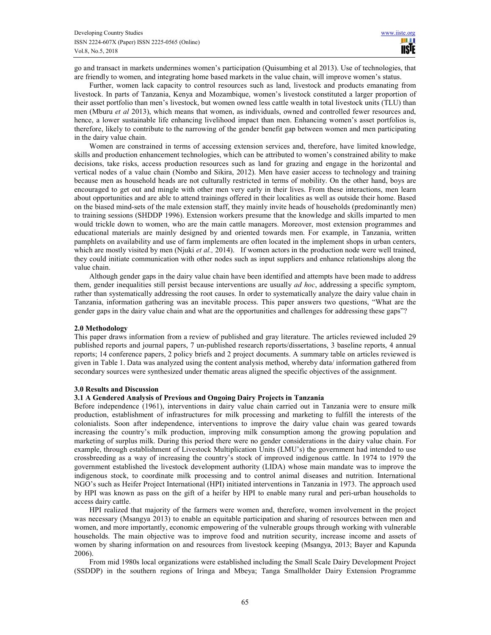go and transact in markets undermines women's participation (Quisumbing et al 2013). Use of technologies, that are friendly to women, and integrating home based markets in the value chain, will improve women's status.

Further, women lack capacity to control resources such as land, livestock and products emanating from livestock. In parts of Tanzania, Kenya and Mozambique, women's livestock constituted a larger proportion of their asset portfolio than men's livestock, but women owned less cattle wealth in total livestock units (TLU) than men (Mburu *et al* 2013), which means that women, as individuals, owned and controlled fewer resources and, hence, a lower sustainable life enhancing livelihood impact than men. Enhancing women's asset portfolios is, therefore, likely to contribute to the narrowing of the gender benefit gap between women and men participating in the dairy value chain.

Women are constrained in terms of accessing extension services and, therefore, have limited knowledge, skills and production enhancement technologies, which can be attributed to women's constrained ability to make decisions, take risks, access production resources such as land for grazing and engage in the horizontal and vertical nodes of a value chain (Nombo and Sikira, 2012). Men have easier access to technology and training because men as household heads are not culturally restricted in terms of mobility. On the other hand, boys are encouraged to get out and mingle with other men very early in their lives. From these interactions, men learn about opportunities and are able to attend trainings offered in their localities as well as outside their home. Based on the biased mind-sets of the male extension staff, they mainly invite heads of households (predominantly men) to training sessions (SHDDP 1996). Extension workers presume that the knowledge and skills imparted to men would trickle down to women, who are the main cattle managers. Moreover, most extension programmes and educational materials are mainly designed by and oriented towards men. For example, in Tanzania, written pamphlets on availability and use of farm implements are often located in the implement shops in urban centers, which are mostly visited by men (Njuki *et al.*, 2014). If women actors in the production node were well trained, they could initiate communication with other nodes such as input suppliers and enhance relationships along the value chain.

Although gender gaps in the dairy value chain have been identified and attempts have been made to address them, gender inequalities still persist because interventions are usually *ad hoc*, addressing a specific symptom, rather than systematically addressing the root causes. In order to systematically analyze the dairy value chain in Tanzania, information gathering was an inevitable process. This paper answers two questions, "What are the gender gaps in the dairy value chain and what are the opportunities and challenges for addressing these gaps"?

## **2.0 Methodology**

This paper draws information from a review of published and gray literature. The articles reviewed included 29 published reports and journal papers, 7 un-published research reports/dissertations, 3 baseline reports, 4 annual reports; 14 conference papers, 2 policy briefs and 2 project documents. A summary table on articles reviewed is given in Table 1. Data was analyzed using the content analysis method, whereby data/ information gathered from secondary sources were synthesized under thematic areas aligned the specific objectives of the assignment.

## **3.0 Results and Discussion**

## **3.1 A Gendered Analysis of Previous and Ongoing Dairy Projects in Tanzania**

Before independence (1961), interventions in dairy value chain carried out in Tanzania were to ensure milk production, establishment of infrastructures for milk processing and marketing to fulfill the interests of the colonialists. Soon after independence, interventions to improve the dairy value chain was geared towards increasing the country's milk production, improving milk consumption among the growing population and marketing of surplus milk. During this period there were no gender considerations in the dairy value chain. For example, through establishment of Livestock Multiplication Units (LMU's) the government had intended to use crossbreeding as a way of increasing the country's stock of improved indigenous cattle. In 1974 to 1979 the government established the livestock development authority (LIDA) whose main mandate was to improve the indigenous stock, to coordinate milk processing and to control animal diseases and nutrition. International NGO's such as Heifer Project International (HPI) initiated interventions in Tanzania in 1973. The approach used by HPI was known as pass on the gift of a heifer by HPI to enable many rural and peri-urban households to access dairy cattle.

HPI realized that majority of the farmers were women and, therefore, women involvement in the project was necessary (Msangya 2013) to enable an equitable participation and sharing of resources between men and women, and more importantly, economic empowering of the vulnerable groups through working with vulnerable households. The main objective was to improve food and nutrition security, increase income and assets of women by sharing information on and resources from livestock keeping (Msangya, 2013; Bayer and Kapunda 2006).

From mid 1980s local organizations were established including the Small Scale Dairy Development Project (SSDDP) in the southern regions of Iringa and Mbeya; Tanga Smallholder Dairy Extension Programme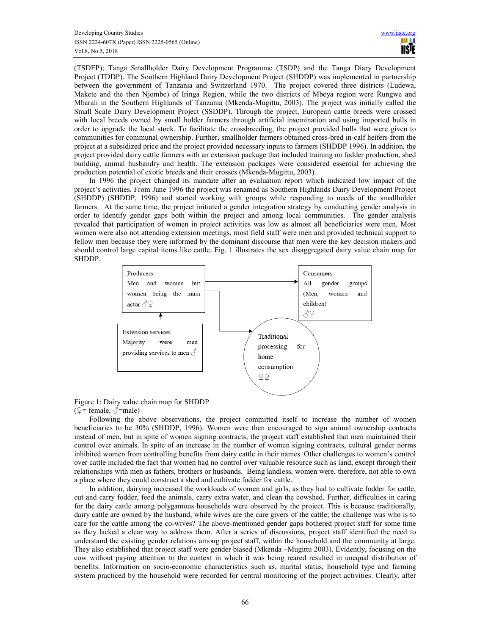(TSDEP); Tanga Smallholder Dairy Development Programme (TSDP) and the Tanga Diary Development Project (TDDP). The Southern Highland Dairy Development Project (SHDDP) was implemented in partnership between the government of Tanzania and Switzerland 1970. The project covered three districts (Ludewa, Makete and the then Njombe) of Iringa Region, while the two districts of Mbeya region were Rungwe and Mbarali in the Southern Highlands of Tanzania (Mkenda-Mugittu, 2003). The project was initially called the Small Scale Dairy Development Project (SSDDP). Through the project, European cattle breeds were crossed with local breeds owned by small holder farmers through artificial insemination and using imported bulls in order to upgrade the local stock. To facilitate the crossbreeding, the project provided bulls that were given to communities for communal ownership. Further, smallholder farmers obtained cross-bred in-calf heifers from the project at a subsidized price and the project provided necessary inputs to farmers (SHDDP 1996). In addition, the project provided dairy cattle farmers with an extension package that included training on fodder production, shed building, animal husbandry and health. The extension packages were considered essential for achieving the production potential of exotic breeds and their crosses (Mkenda-Mugittu, 2003).

In 1996 the project changed its mandate after an evaluation report which indicated low impact of the project's activities. From June 1996 the project was renamed as Southern Highlands Dairy Development Project (SHDDP) (SHDDP, 1996) and started working with groups while responding to needs of the smallholder farmers. At the same time, the project initiated a gender integration strategy by conducting gender analysis in order to identify gender gaps both within the project and among local communities. The gender analysis revealed that participation of women in project activities was low as almost all beneficiaries were men. Most women were also not attending extension meetings, most field staff were men and provided technical support to fellow men because they were informed by the dominant discourse that men were the key decision makers and should control large capital items like cattle. Fig. 1 illustrates the sex disaggregated dairy value chain map for SHDDP.



Figure 1: Dairy value chain map for SHDDP ( $\mathcal{Q}$ = female,  $\mathcal{Q}$ =male)

Following the above observations, the project committed itself to increase the number of women beneficiaries to be 30% (SHDDP, 1996). Women were then encouraged to sign animal ownership contracts instead of men, but in spite of women signing contracts, the project staff established that men maintained their control over animals. In spite of an increase in the number of women signing contracts, cultural gender norms inhibited women from controlling benefits from dairy cattle in their names. Other challenges to women's control over cattle included the fact that women had no control over valuable resource such as land, except through their relationships with men as fathers, brothers or husbands. Being landless, women were, therefore, not able to own a place where they could construct a shed and cultivate fodder for cattle.

In addition, dairying increased the workloads of women and girls, as they had to cultivate fodder for cattle, cut and carry fodder, feed the animals, carry extra water, and clean the cowshed. Further, difficulties in caring for the dairy cattle among polygamous households were observed by the project. This is because traditionally, dairy cattle are owned by the husband, while wives are the care givers of the cattle; the challenge was who is to care for the cattle among the co-wives? The above-mentioned gender gaps bothered project staff for some time as they lacked a clear way to address them. After a series of discussions, project staff identified the need to understand the existing gender relations among project staff, within the household and the community at large. They also established that project staff were gender biased (Mkenda –Mugittu 2003). Evidently, focusing on the cow without paying attention to the context in which it was being reared resulted in unequal distribution of benefits. Information on socio-economic characteristics such as, marital status, household type and farming system practiced by the household were recorded for central monitoring of the project activities. Clearly, after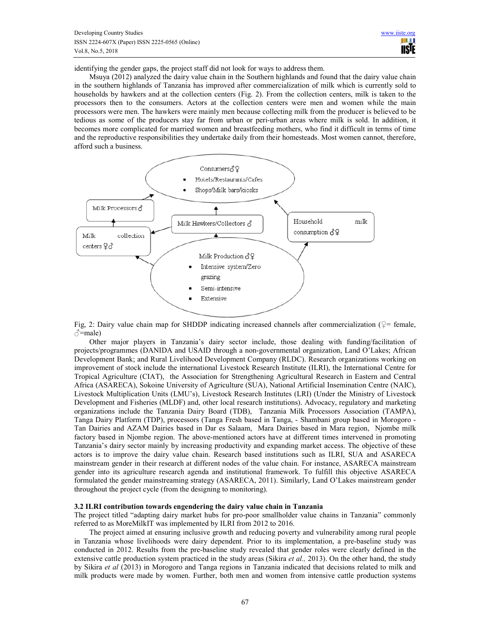identifying the gender gaps, the project staff did not look for ways to address them.

Msuya (2012) analyzed the dairy value chain in the Southern highlands and found that the dairy value chain in the southern highlands of Tanzania has improved after commercialization of milk which is currently sold to households by hawkers and at the collection centers (Fig. 2). From the collection centers, milk is taken to the processors then to the consumers. Actors at the collection centers were men and women while the main processors were men. The hawkers were mainly men because collecting milk from the producer is believed to be tedious as some of the producers stay far from urban or peri-urban areas where milk is sold. In addition, it becomes more complicated for married women and breastfeeding mothers, who find it difficult in terms of time and the reproductive responsibilities they undertake daily from their homesteads. Most women cannot, therefore, afford such a business.



Fig, 2: Dairy value chain map for SHDDP indicating increased channels after commercialization ( $\varphi$ = female,  $\beta$ =male)

Other major players in Tanzania's dairy sector include, those dealing with funding/facilitation of projects/programmes (DANIDA and USAID through a non-governmental organization, Land O'Lakes; African Development Bank; and Rural Livelihood Development Company (RLDC). Research organizations working on improvement of stock include the international Livestock Research Institute (ILRI), the International Centre for Tropical Agriculture (CIAT), the Association for Strengthening Agricultural Research in Eastern and Central Africa (ASARECA), Sokoine University of Agriculture (SUA), National Artificial Insemination Centre (NAIC), Livestock Multiplication Units (LMU's), Livestock Research Institutes (LRI) (Under the Ministry of Livestock Development and Fisheries (MLDF) and, other local research institutions). Advocacy, regulatory and marketing organizations include the Tanzania Dairy Board (TDB), Tanzania Milk Processors Association (TAMPA), Tanga Dairy Platform (TDP), processors (Tanga Fresh based in Tanga, - Shambani group based in Morogoro - Tan Dairies and AZAM Dairies based in Dar es Salaam, Mara Dairies based in Mara region, Njombe milk factory based in Njombe region. The above-mentioned actors have at different times intervened in promoting Tanzania's dairy sector mainly by increasing productivity and expanding market access. The objective of these actors is to improve the dairy value chain. Research based institutions such as ILRI, SUA and ASARECA mainstream gender in their research at different nodes of the value chain. For instance, ASARECA mainstream gender into its agriculture research agenda and institutional framework. To fulfill this objective ASARECA formulated the gender mainstreaming strategy (ASARECA, 2011). Similarly, Land O'Lakes mainstream gender throughout the project cycle (from the designing to monitoring).

#### **3.2 ILRI contribution towards engendering the dairy value chain in Tanzania**

The project titled "adapting dairy market hubs for pro-poor smallholder value chains in Tanzania" commonly referred to as MoreMilkIT was implemented by ILRI from 2012 to 2016.

The project aimed at ensuring inclusive growth and reducing poverty and vulnerability among rural people in Tanzania whose livelihoods were dairy dependent. Prior to its implementation, a pre-baseline study was conducted in 2012. Results from the pre-baseline study revealed that gender roles were clearly defined in the extensive cattle production system practiced in the study areas (Sikira *et al.,* 2013). On the other hand, the study by Sikira *et al* (2013) in Morogoro and Tanga regions in Tanzania indicated that decisions related to milk and milk products were made by women. Further, both men and women from intensive cattle production systems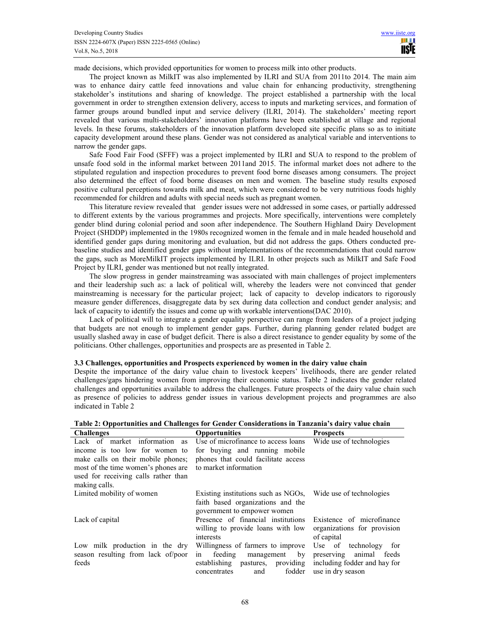made decisions, which provided opportunities for women to process milk into other products.

The project known as MilkIT was also implemented by ILRI and SUA from 2011to 2014. The main aim was to enhance dairy cattle feed innovations and value chain for enhancing productivity, strengthening stakeholder's institutions and sharing of knowledge. The project established a partnership with the local government in order to strengthen extension delivery, access to inputs and marketing services, and formation of farmer groups around bundled input and service delivery (ILRI, 2014). The stakeholders' meeting report revealed that various multi-stakeholders' innovation platforms have been established at village and regional levels. In these forums, stakeholders of the innovation platform developed site specific plans so as to initiate capacity development around these plans. Gender was not considered as analytical variable and interventions to narrow the gender gaps.

Safe Food Fair Food (SFFF) was a project implemented by ILRI and SUA to respond to the problem of unsafe food sold in the informal market between 2011and 2015. The informal market does not adhere to the stipulated regulation and inspection procedures to prevent food borne diseases among consumers. The project also determined the effect of food borne diseases on men and women. The baseline study results exposed positive cultural perceptions towards milk and meat, which were considered to be very nutritious foods highly recommended for children and adults with special needs such as pregnant women.

This literature review revealed that gender issues were not addressed in some cases, or partially addressed to different extents by the various programmes and projects. More specifically, interventions were completely gender blind during colonial period and soon after independence. The Southern Highland Dairy Development Project (SHDDP) implemented in the 1980s recognized women in the female and in male headed household and identified gender gaps during monitoring and evaluation, but did not address the gaps. Others conducted prebaseline studies and identified gender gaps without implementations of the recommendations that could narrow the gaps, such as MoreMilkIT projects implemented by ILRI. In other projects such as MilkIT and Safe Food Project by ILRI, gender was mentioned but not really integrated.

The slow progress in gender mainstreaming was associated with main challenges of project implementers and their leadership such as: a lack of political will, whereby the leaders were not convinced that gender mainstreaming is necessary for the particular project; lack of capacity to develop indicators to rigorously measure gender differences, disaggregate data by sex during data collection and conduct gender analysis; and lack of capacity to identify the issues and come up with workable interventions(DAC 2010).

Lack of political will to integrate a gender equality perspective can range from leaders of a project judging that budgets are not enough to implement gender gaps. Further, during planning gender related budget are usually slashed away in case of budget deficit. There is also a direct resistance to gender equality by some of the politicians. Other challenges, opportunities and prospects are as presented in Table 2.

## **3.3 Challenges, opportunities and Prospects experienced by women in the dairy value chain**

Despite the importance of the dairy value chain to livestock keepers' livelihoods, there are gender related challenges/gaps hindering women from improving their economic status. Table 2 indicates the gender related challenges and opportunities available to address the challenges. Future prospects of the dairy value chain such as presence of policies to address gender issues in various development projects and programmes are also indicated in Table 2

| <b>Challenges</b>                    | <b>Opportunities</b>                | <b>Prospects</b>             |
|--------------------------------------|-------------------------------------|------------------------------|
| Lack of market information as        | Use of microfinance to access loans | Wide use of technologies     |
| income is too low for women to       | for buying and running mobile       |                              |
| make calls on their mobile phones;   | phones that could facilitate access |                              |
| most of the time women's phones are  | to market information               |                              |
| used for receiving calls rather than |                                     |                              |
| making calls.                        |                                     |                              |
| Limited mobility of women            | Existing institutions such as NGOs, | Wide use of technologies     |
|                                      | faith based organizations and the   |                              |
|                                      | government to empower women         |                              |
| Lack of capital                      | Presence of financial institutions  | Existence of microfinance    |
|                                      | willing to provide loans with low   | organizations for provision  |
|                                      | interests                           | of capital                   |
| Low milk production in the dry       | Willingness of farmers to improve   | Use of technology<br>for     |
| season resulting from lack of/poor   | feeding<br>management<br>by<br>in   | preserving animal feeds      |
| feeds                                | pastures, providing<br>establishing | including fodder and hay for |
|                                      | fodder<br>and<br>concentrates       | use in dry season            |

**Table 2: Opportunities and Challenges for Gender Considerations in Tanzania's dairy value chain**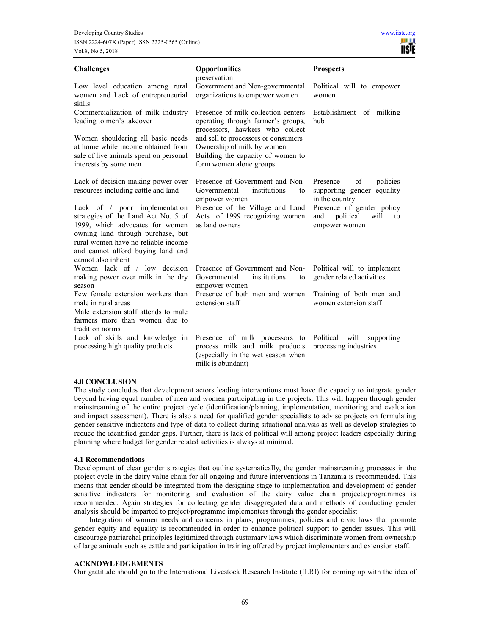

| <b>Challenges</b>                                                                                                                                                                                                                                                                                                            | Opportunities                                                                                                                                                                                                                                     | <b>Prospects</b>                                                                                                                                           |
|------------------------------------------------------------------------------------------------------------------------------------------------------------------------------------------------------------------------------------------------------------------------------------------------------------------------------|---------------------------------------------------------------------------------------------------------------------------------------------------------------------------------------------------------------------------------------------------|------------------------------------------------------------------------------------------------------------------------------------------------------------|
| Low level education among rural<br>women and Lack of entrepreneurial<br>skills                                                                                                                                                                                                                                               | preservation<br>Government and Non-governmental<br>organizations to empower women                                                                                                                                                                 | Political will to empower<br>women                                                                                                                         |
| Commercialization of milk industry<br>leading to men's takeover<br>Women shouldering all basic needs<br>at home while income obtained from<br>sale of live animals spent on personal<br>interests by some men                                                                                                                | Presence of milk collection centers<br>operating through farmer's groups,<br>processors, hawkers who collect<br>and sell to processors or consumers<br>Ownership of milk by women<br>Building the capacity of women to<br>form women alone groups | Establishment of milking<br>hub                                                                                                                            |
| Lack of decision making power over<br>resources including cattle and land<br>Lack of / poor implementation<br>strategies of the Land Act No. 5 of<br>1999, which advocates for women<br>owning land through purchase, but<br>rural women have no reliable income<br>and cannot afford buying land and<br>cannot also inherit | Presence of Government and Non-<br>Governmental<br>institutions<br>to<br>empower women<br>Presence of the Village and Land<br>Acts of 1999 recognizing women<br>as land owners                                                                    | of<br>policies<br>Presence<br>supporting gender equality<br>in the country<br>Presence of gender policy<br>political<br>will<br>and<br>to<br>empower women |
| Women lack of / low decision<br>making power over milk in the dry<br>season                                                                                                                                                                                                                                                  | Presence of Government and Non-<br>institutions<br>Governmental<br>to<br>empower women                                                                                                                                                            | Political will to implement<br>gender related activities                                                                                                   |
| Few female extension workers than<br>male in rural areas<br>Male extension staff attends to male<br>farmers more than women due to<br>tradition norms                                                                                                                                                                        | Presence of both men and women<br>extension staff                                                                                                                                                                                                 | Training of both men and<br>women extension staff                                                                                                          |
| Lack of skills and knowledge in<br>processing high quality products                                                                                                                                                                                                                                                          | Presence of milk processors to<br>process milk and milk products<br>(especially in the wet season when<br>milk is abundant)                                                                                                                       | Political will<br>supporting<br>processing industries                                                                                                      |

## **4.0 CONCLUSION**

The study concludes that development actors leading interventions must have the capacity to integrate gender beyond having equal number of men and women participating in the projects. This will happen through gender mainstreaming of the entire project cycle (identification/planning, implementation, monitoring and evaluation and impact assessment). There is also a need for qualified gender specialists to advise projects on formulating gender sensitive indicators and type of data to collect during situational analysis as well as develop strategies to reduce the identified gender gaps. Further, there is lack of political will among project leaders especially during planning where budget for gender related activities is always at minimal.

## **4.1 Recommendations**

Development of clear gender strategies that outline systematically, the gender mainstreaming processes in the project cycle in the dairy value chain for all ongoing and future interventions in Tanzania is recommended. This means that gender should be integrated from the designing stage to implementation and development of gender sensitive indicators for monitoring and evaluation of the dairy value chain projects/programmes is recommended. Again strategies for collecting gender disaggregated data and methods of conducting gender analysis should be imparted to project/programme implementers through the gender specialist

Integration of women needs and concerns in plans, programmes, policies and civic laws that promote gender equity and equality is recommended in order to enhance political support to gender issues. This will discourage patriarchal principles legitimized through customary laws which discriminate women from ownership of large animals such as cattle and participation in training offered by project implementers and extension staff.

## **ACKNOWLEDGEMENTS**

Our gratitude should go to the International Livestock Research Institute (ILRI) for coming up with the idea of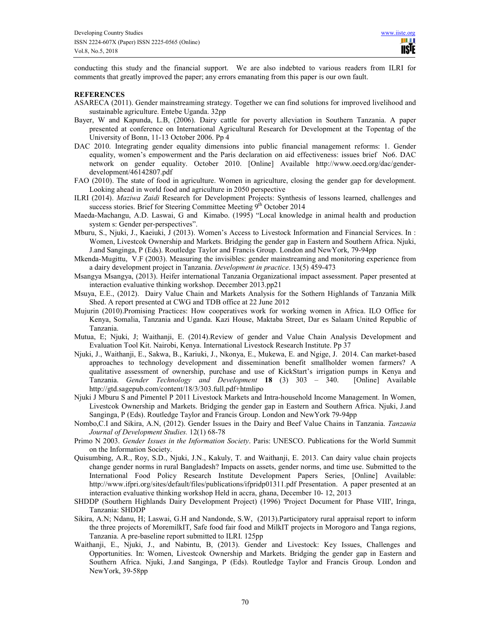conducting this study and the financial support. We are also indebted to various readers from ILRI for comments that greatly improved the paper; any errors emanating from this paper is our own fault.

## **REFERENCES**

- ASARECA (2011). Gender mainstreaming strategy. Together we can find solutions for improved livelihood and sustainable agriculture. Entebe Uganda. 32pp
- Bayer, W and Kapunda, L.B, (2006). Dairy cattle for poverty alleviation in Southern Tanzania. A paper presented at conference on International Agricultural Research for Development at the Topentag of the University of Bonn, 11-13 October 2006. Pp 4
- DAC 2010. Integrating gender equality dimensions into public financial management reforms: 1. Gender equality, women's empowerment and the Paris declaration on aid effectiveness: issues brief No6. DAC network on gender equality. October 2010. [Online] Available http://www.oecd.org/dac/genderdevelopment/46142807.pdf
- FAO (2010). The state of food in agriculture. Women in agriculture, closing the gender gap for development. Looking ahead in world food and agriculture in 2050 perspective
- ILRI (2014). *Maziwa Zaidi* Research for Development Projects: Synthesis of lessons learned, challenges and success stories. Brief for Steering Committee Meeting  $9^{th}$  October 2014
- Maeda-Machangu, A.D. Laswai, G and Kimabo. (1995) "Local knowledge in animal health and production system s: Gender per-perspectives".
- Mburu, S., Njuki, J., Kaeiuki, J (2013). Women's Access to Livestock Information and Financial Services. In : Women, Livestcok Ownership and Markets. Bridging the gender gap in Eastern and Southern Africa. Njuki, J.and Sanginga, P (Eds). Routledge Taylor and Francis Group. London and NewYork, 79-94pp
- Mkenda-Mugittu, V.F (2003). Measuring the invisibles: gender mainstreaming and monitoring experience from a dairy development project in Tanzania. *Development in practice*. 13(5) 459-473
- Msangya Msangya, (2013). Heifer international Tanzania Organizational impact assessment. Paper presented at interaction evaluative thinking workshop. December 2013.pp21
- Msuya, E.E., (2012). Dairy Value Chain and Markets Analysis for the Sothern Highlands of Tanzania Milk Shed. A report presented at CWG and TDB office at 22 June 2012
- Mujurin (2010).Promising Practices: How cooperatives work for working women in Africa. ILO Office for Kenya, Somalia, Tanzania and Uganda. Kazi House, Maktaba Street, Dar es Salaam United Republic of Tanzania.
- Mutua, E; Njuki, J; Waithanji, E. (2014).Review of gender and Value Chain Analysis Development and Evaluation Tool Kit. Nairobi, Kenya. International Livestock Research Institute. Pp 37
- Njuki, J., Waithanji, E., Sakwa, B., Kariuki, J., Nkonya, E., Mukewa, E. and Ngige, J. 2014. Can market-based approaches to technology development and dissemination benefit smallholder women farmers? A qualitative assessment of ownership, purchase and use of KickStart's irrigation pumps in Kenya and Tanzania. *Gender Technology and Development* **18** (3) 303 – 340. [Online] Available http://gtd.sagepub.com/content/18/3/303.full.pdf+htmlipo
- Njuki J Mburu S and Pimentel P 2011 Livestock Markets and Intra-household Income Management. In Women, Livestcok Ownership and Markets. Bridging the gender gap in Eastern and Southern Africa. Njuki, J.and Sanginga, P (Eds). Routledge Taylor and Francis Group. London and NewYork 79-94pp
- Nombo,C.I and Sikira, A.N, (2012). Gender Issues in the Dairy and Beef Value Chains in Tanzania. *Tanzania Journal of Development Studies.* 12(1) 68-78
- Primo N 2003. *Gender Issues in the Information Society*. Paris: UNESCO. Publications for the World Summit on the Information Society.
- Quisumbing, A.R., Roy, S.D., Njuki, J.N., Kakuly, T. and Waithanji, E. 2013. Can dairy value chain projects change gender norms in rural Bangladesh? Impacts on assets, gender norms, and time use. Submitted to the International Food Policy Research Institute Development Papers Series, [Online] Available: http://www.ifpri.org/sites/default/files/publications/ifpridp01311.pdf Presentation. A paper presented at an interaction evaluative thinking workshop Held in accra, ghana, December 10- 12, 2013
- SHDDP (Southern Highlands Dairy Development Project) (1996) 'Project Document for Phase VIII', Iringa, Tanzania: SHDDP
- Sikira, A.N; Ndanu, H; Laswai, G.H and Nandonde, S.W, (2013).Participatory rural appraisal report to inform the three projects of MoremilkIT, Safe food fair food and MilkIT projects in Morogoro and Tanga regions, Tanzania. A pre-baseline report submitted to ILRI. 125pp
- Waithanji, E., Njuki, J., and Nabintu, B, (2013). Gender and Livestock: Key Issues, Challenges and Opportunities. In: Women, Livestcok Ownership and Markets. Bridging the gender gap in Eastern and Southern Africa. Njuki, J.and Sanginga, P (Eds). Routledge Taylor and Francis Group. London and NewYork, 39-58pp